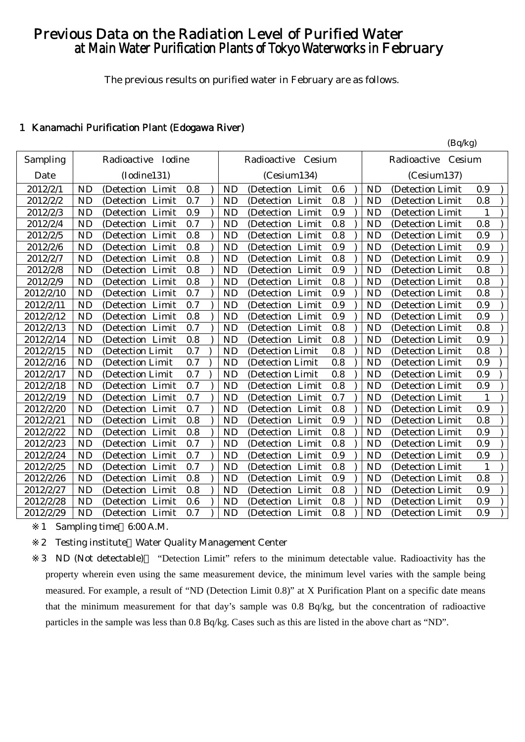# Previous Data on the Radiation Level of Purified Water at Main Water Purification Plants of Tokyo Waterworks in February

The previous results on purified water in February are as follows.

 $(R_0/k_0)$ 

# 1 Kanamachi Purification Plant (Edogawa River)

|           |           |                      |     |           |                       |     |           | $(\mathbf{v}_1 \mathbf{w}_2)$ |              |  |
|-----------|-----------|----------------------|-----|-----------|-----------------------|-----|-----------|-------------------------------|--------------|--|
| Sampling  |           | Radioactive Iodine   |     |           | Radioactive<br>Cesium |     |           | Radioactive Cesium            |              |  |
| Date      |           | (Iodine131)          |     |           | (Cesium134)           |     |           | (Cesium137)                   |              |  |
| 2012/2/1  | <b>ND</b> | (Detection Limit     | 0.8 | <b>ND</b> | (Detection Limit      | 0.6 | <b>ND</b> | (Detection Limit)             | 0.9          |  |
| 2012/2/2  | <b>ND</b> | Limit<br>(Detection  | 0.7 | <b>ND</b> | Limit<br>(Detection)  | 0.8 | <b>ND</b> | (Detection Limit)             | 0.8          |  |
| 2012/2/3  | <b>ND</b> | (Detection Limit     | 0.9 | <b>ND</b> | (Detection<br>Limit   | 0.9 | <b>ND</b> | (Detection Limit              | 1            |  |
| 2012/2/4  | <b>ND</b> | (Detection Limit     | 0.7 | <b>ND</b> | Limit<br>(Detection)  | 0.8 | <b>ND</b> | (Detection Limit              | 0.8          |  |
| 2012/2/5  | <b>ND</b> | Limit<br>(Detection  | 0.8 | <b>ND</b> | Limit<br>(Detection)  | 0.8 | <b>ND</b> | (Detection Limit              | 0.9          |  |
| 2012/2/6  | <b>ND</b> | (Detection Limit     | 0.8 | <b>ND</b> | Limit<br>(Detection   | 0.9 | <b>ND</b> | (Detection Limit              | 0.9          |  |
| 2012/2/7  | <b>ND</b> | (Detection Limit     | 0.8 | <b>ND</b> | (Detection Limit      | 0.8 | <b>ND</b> | (Detection Limit)             | 0.9          |  |
| 2012/2/8  | <b>ND</b> | (Detection Limit     | 0.8 | <b>ND</b> | (Detection Limit      | 0.9 | <b>ND</b> | (Detection Limit              | 0.8          |  |
| 2012/2/9  | <b>ND</b> | (Detection Limit     | 0.8 | <b>ND</b> | (Detection<br>Limit   | 0.8 | <b>ND</b> | (Detection Limit              | 0.8          |  |
| 2012/2/10 | <b>ND</b> | (Detection Limit     | 0.7 | <b>ND</b> | (Detection Limit      | 0.9 | <b>ND</b> | (Detection Limit              | 0.8          |  |
| 2012/2/11 | <b>ND</b> | (Detection Limit     | 0.7 | <b>ND</b> | (Detection Limit      | 0.9 | <b>ND</b> | (Detection Limit              | 0.9          |  |
| 2012/2/12 | <b>ND</b> | (Detection Limit     | 0.8 | <b>ND</b> | (Detection Limit      | 0.9 | <b>ND</b> | (Detection Limit              | 0.9          |  |
| 2012/2/13 | <b>ND</b> | (Detection Limit     | 0.7 | <b>ND</b> | (Detection Limit      | 0.8 | <b>ND</b> | (Detection Limit)             | 0.8          |  |
| 2012/2/14 | <b>ND</b> | (Detection Limit     | 0.8 | <b>ND</b> | (Detection Limit      | 0.8 | <b>ND</b> | (Detection Limit)             | 0.9          |  |
| 2012/2/15 | <b>ND</b> | (Detection Limit     | 0.7 | <b>ND</b> | (Detection Limit      | 0.8 | <b>ND</b> | (Detection Limit              | 0.8          |  |
| 2012/2/16 | <b>ND</b> | (Detection Limit     | 0.7 | <b>ND</b> | (Detection Limit      | 0.8 | <b>ND</b> | (Detection Limit              | 0.9          |  |
| 2012/2/17 | <b>ND</b> | (Detection Limit     | 0.7 | <b>ND</b> | (Detection Limit      | 0.8 | <b>ND</b> | (Detection Limit              | 0.9          |  |
| 2012/2/18 | <b>ND</b> | (Detection Limit     | 0.7 | <b>ND</b> | (Detection<br>Limit   | 0.8 | <b>ND</b> | (Detection Limit              | 0.9          |  |
| 2012/2/19 | <b>ND</b> | Limit<br>(Detection) | 0.7 | <b>ND</b> | Limit<br>(Detection   | 0.7 | <b>ND</b> | (Detection Limit)             | $\mathbf{1}$ |  |
| 2012/2/20 | <b>ND</b> | (Detection Limit     | 0.7 | <b>ND</b> | Limit<br>(Detection)  | 0.8 | <b>ND</b> | (Detection Limit)             | 0.9          |  |
| 2012/2/21 | <b>ND</b> | Limit<br>(Detection  | 0.8 | <b>ND</b> | Limit<br>(Detection   | 0.9 | <b>ND</b> | (Detection Limit              | 0.8          |  |
| 2012/2/22 | <b>ND</b> | (Detection Limit     | 0.8 | <b>ND</b> | Limit<br>(Detection)  | 0.8 | <b>ND</b> | (Detection Limit              | 0.9          |  |
| 2012/2/23 | <b>ND</b> | (Detection Limit     | 0.7 | <b>ND</b> | Limit<br>(Detection   | 0.8 | <b>ND</b> | (Detection Limit              | 0.9          |  |
| 2012/2/24 | <b>ND</b> | (Detection Limit     | 0.7 | <b>ND</b> | Limit<br>(Detection   | 0.9 | <b>ND</b> | (Detection Limit              | 0.9          |  |
| 2012/2/25 | <b>ND</b> | (Detection Limit)    | 0.7 | <b>ND</b> | (Detection Limit)     | 0.8 | <b>ND</b> | (Detection Limit)             | $\mathbf{1}$ |  |
| 2012/2/26 | <b>ND</b> | (Detection Limit     | 0.8 | <b>ND</b> | (Detection Limit      | 0.9 | <b>ND</b> | (Detection Limit)             | 0.8          |  |
| 2012/2/27 | <b>ND</b> | (Detection Limit     | 0.8 | <b>ND</b> | (Detection Limit      | 0.8 | <b>ND</b> | (Detection Limit              | 0.9          |  |
| 2012/2/28 | <b>ND</b> | (Detection Limit     | 0.6 | <b>ND</b> | (Detection Limit      | 0.8 | <b>ND</b> | (Detection Limit              | 0.9          |  |
| 2012/2/29 | <b>ND</b> | (Detection Limit     | 0.7 | <b>ND</b> | (Detection Limit      | 0.8 | <b>ND</b> | (Detection Limit)             | 0.9          |  |

1 Sampling time 6:00 A.M.

2 Testing institute Water Quality Management Center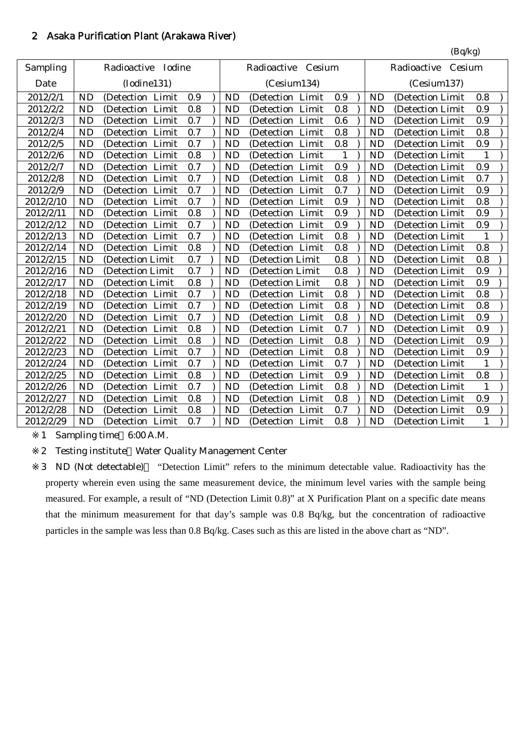# 2 Asaka Purification Plant (Arakawa River)

|           |           |                      |     |           |                    |         |           | (Bq/kg)               |              |
|-----------|-----------|----------------------|-----|-----------|--------------------|---------|-----------|-----------------------|--------------|
| Sampling  |           | Radioactive Iodine   |     |           | Radioactive Cesium |         |           | Radioactive<br>Cesium |              |
| Date      |           | (Iodine131)          |     |           | (Cesium134)        |         |           | (Cesium137)           |              |
| 2012/2/1  | <b>ND</b> | (Detection Limit     | 0.9 | <b>ND</b> | (Detection Limit   | 0.9     | <b>ND</b> | (Detection Limit      | 0.8          |
| 2012/2/2  | <b>ND</b> | Limit<br>(Detection) | 0.8 | <b>ND</b> | (Detection Limit   | 0.8     | <b>ND</b> | (Detection Limit      | 0.9          |
| 2012/2/3  | <b>ND</b> | (Detection Limit     | 0.7 | <b>ND</b> | (Detection Limit   | 0.6     | <b>ND</b> | (Detection Limit      | 0.9          |
| 2012/2/4  | <b>ND</b> | (Detection Limit     | 0.7 | <b>ND</b> | (Detection Limit   | 0.8     | <b>ND</b> | (Detection Limit      | 0.8          |
| 2012/2/5  | <b>ND</b> | (Detection Limit     | 0.7 | <b>ND</b> | (Detection Limit   | 0.8     | <b>ND</b> | (Detection Limit      | 0.9          |
| 2012/2/6  | <b>ND</b> | (Detection Limit     | 0.8 | <b>ND</b> | (Detection Limit   | 1       | <b>ND</b> | (Detection Limit)     | 1            |
| 2012/2/7  | <b>ND</b> | (Detection Limit     | 0.7 | <b>ND</b> | (Detection Limit   | 0.9     | <b>ND</b> | (Detection Limit      | 0.9          |
| 2012/2/8  | <b>ND</b> | (Detection Limit     | 0.7 | <b>ND</b> | (Detection Limit   | 0.8     | <b>ND</b> | (Detection Limit      | 0.7          |
| 2012/2/9  | <b>ND</b> | (Detection Limit     | 0.7 | <b>ND</b> | (Detection Limit   | 0.7     | <b>ND</b> | (Detection Limit      | 0.9          |
| 2012/2/10 | <b>ND</b> | (Detection Limit     | 0.7 | <b>ND</b> | (Detection Limit   | 0.9     | <b>ND</b> | (Detection Limit      | 0.8          |
| 2012/2/11 | <b>ND</b> | (Detection Limit     | 0.8 | <b>ND</b> | (Detection Limit   | 0.9     | <b>ND</b> | (Detection Limit      | 0.9          |
| 2012/2/12 | <b>ND</b> | (Detection Limit     | 0.7 | <b>ND</b> | (Detection Limit   | 0.9     | <b>ND</b> | (Detection Limit)     | 0.9          |
| 2012/2/13 | <b>ND</b> | (Detection Limit     | 0.7 | <b>ND</b> | (Detection Limit   | 0.8     | <b>ND</b> | (Detection Limit      | $\mathbf{1}$ |
| 2012/2/14 | <b>ND</b> | (Detection Limit     | 0.8 | <b>ND</b> | (Detection Limit   | 0.8     | <b>ND</b> | (Detection Limit      | 0.8          |
| 2012/2/15 | <b>ND</b> | (Detection Limit     | 0.7 | <b>ND</b> | (Detection Limit   | 0.8     | <b>ND</b> | (Detection Limit      | 0.8          |
| 2012/2/16 | <b>ND</b> | (Detection Limit     | 0.7 | <b>ND</b> | (Detection Limit   | 0.8     | <b>ND</b> | (Detection Limit      | 0.9          |
| 2012/2/17 | <b>ND</b> | (Detection Limit     | 0.8 | <b>ND</b> | (Detection Limit   | 0.8     | <b>ND</b> | (Detection Limit      | 0.9          |
| 2012/2/18 | <b>ND</b> | (Detection Limit     | 0.7 | <b>ND</b> | (Detection Limit   | 0.8     | <b>ND</b> | (Detection Limit      | 0.8          |
| 2012/2/19 | <b>ND</b> | (Detection Limit     | 0.7 | <b>ND</b> | (Detection Limit   | 0.8     | <b>ND</b> | (Detection Limit      | 0.8          |
| 2012/2/20 | <b>ND</b> | (Detection Limit     | 0.7 | <b>ND</b> | (Detection Limit   | 0.8     | <b>ND</b> | (Detection Limit      | 0.9          |
| 2012/2/21 | <b>ND</b> | (Detection Limit     | 0.8 | <b>ND</b> | (Detection Limit   | 0.7     | <b>ND</b> | (Detection Limit      | 0.9          |
| 2012/2/22 | <b>ND</b> | (Detection Limit     | 0.8 | <b>ND</b> | (Detection Limit   | $0.8\,$ | <b>ND</b> | (Detection Limit      | 0.9          |
| 2012/2/23 | <b>ND</b> | (Detection Limit     | 0.7 | <b>ND</b> | (Detection Limit   | 0.8     | <b>ND</b> | (Detection Limit      | 0.9          |
| 2012/2/24 | <b>ND</b> | (Detection Limit     | 0.7 | <b>ND</b> | (Detection Limit   | 0.7     | <b>ND</b> | (Detection Limit      | $\mathbf{1}$ |
| 2012/2/25 | <b>ND</b> | (Detection Limit     | 0.8 | <b>ND</b> | (Detection Limit   | 0.9     | <b>ND</b> | (Detection Limit      | 0.8          |
| 2012/2/26 | <b>ND</b> | (Detection Limit     | 0.7 | <b>ND</b> | (Detection Limit   | 0.8     | <b>ND</b> | (Detection Limit      | 1            |
| 2012/2/27 | <b>ND</b> | (Detection Limit     | 0.8 | <b>ND</b> | (Detection Limit   | 0.8     | <b>ND</b> | (Detection Limit      | 0.9          |
| 2012/2/28 | <b>ND</b> | (Detection<br>Limit  | 0.8 | <b>ND</b> | (Detection Limit   | 0.7     | <b>ND</b> | (Detection Limit      | 0.9          |
| 2012/2/29 | ND        | (Detection Limit     | 0.7 | <b>ND</b> | (Detection Limit   | 0.8     | <b>ND</b> | (Detection Limit      | $\mathbf{1}$ |

1 Sampling time 6:00 A.M.

2 Testing institute Water Quality Management Center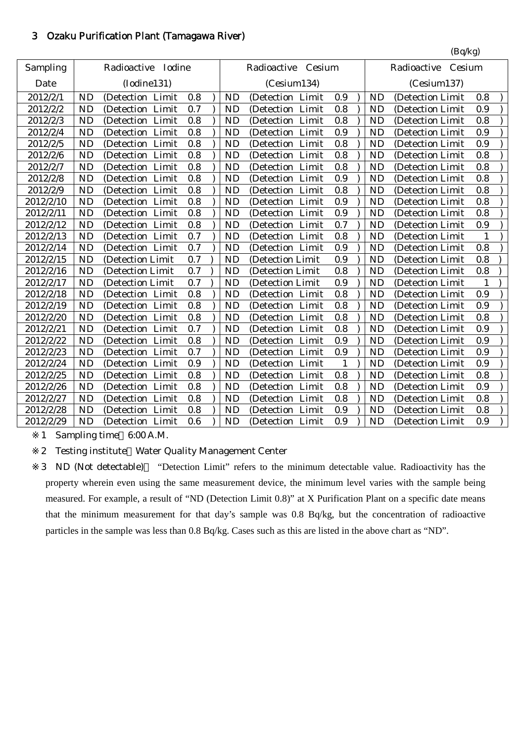# 3 Ozaku Purification Plant (Tamagawa River)

|           |           |                       |     |           |                     |     |           | (Bq/kg)               |     |
|-----------|-----------|-----------------------|-----|-----------|---------------------|-----|-----------|-----------------------|-----|
| Sampling  |           | Radioactive<br>Iodine |     |           | Radioactive Cesium  |     |           | Radioactive<br>Cesium |     |
| Date      |           | (Iodine131)           |     |           | (Cesium134)         |     |           | (Cesium137)           |     |
| 2012/2/1  | <b>ND</b> | (Detection Limit      | 0.8 | <b>ND</b> | (Detection<br>Limit | 0.9 | <b>ND</b> | (Detection Limit      | 0.8 |
| 2012/2/2  | <b>ND</b> | (Detection<br>Limit   | 0.7 | <b>ND</b> | (Detection Limit    | 0.8 | <b>ND</b> | (Detection Limit      | 0.9 |
| 2012/2/3  | <b>ND</b> | (Detection Limit      | 0.8 | <b>ND</b> | (Detection Limit    | 0.8 | <b>ND</b> | (Detection Limit      | 0.8 |
| 2012/2/4  | <b>ND</b> | (Detection Limit      | 0.8 | <b>ND</b> | (Detection Limit    | 0.9 | <b>ND</b> | (Detection Limit      | 0.9 |
| 2012/2/5  | <b>ND</b> | (Detection Limit      | 0.8 | <b>ND</b> | (Detection Limit    | 0.8 | <b>ND</b> | (Detection Limit      | 0.9 |
| 2012/2/6  | <b>ND</b> | (Detection Limit      | 0.8 | <b>ND</b> | (Detection Limit    | 0.8 | <b>ND</b> | (Detection Limit      | 0.8 |
| 2012/2/7  | <b>ND</b> | (Detection Limit      | 0.8 | <b>ND</b> | (Detection Limit    | 0.8 | <b>ND</b> | (Detection Limit      | 0.8 |
| 2012/2/8  | <b>ND</b> | (Detection Limit      | 0.8 | <b>ND</b> | (Detection Limit    | 0.9 | <b>ND</b> | (Detection Limit      | 0.8 |
| 2012/2/9  | <b>ND</b> | (Detection Limit      | 0.8 | <b>ND</b> | (Detection Limit    | 0.8 | <b>ND</b> | (Detection Limit      | 0.8 |
| 2012/2/10 | <b>ND</b> | (Detection<br>Limit   | 0.8 | <b>ND</b> | (Detection Limit    | 0.9 | <b>ND</b> | (Detection Limit      | 0.8 |
| 2012/2/11 | <b>ND</b> | (Detection Limit      | 0.8 | <b>ND</b> | (Detection Limit    | 0.9 | <b>ND</b> | (Detection Limit      | 0.8 |
| 2012/2/12 | <b>ND</b> | (Detection Limit      | 0.8 | <b>ND</b> | (Detection Limit    | 0.7 | <b>ND</b> | (Detection Limit      | 0.9 |
| 2012/2/13 | <b>ND</b> | (Detection<br>Limit   | 0.7 | <b>ND</b> | (Detection Limit    | 0.8 | <b>ND</b> | (Detection Limit      | 1   |
| 2012/2/14 | <b>ND</b> | (Detection Limit      | 0.7 | <b>ND</b> | (Detection Limit    | 0.9 | <b>ND</b> | (Detection Limit      | 0.8 |
| 2012/2/15 | <b>ND</b> | (Detection Limit      | 0.7 | <b>ND</b> | (Detection Limit    | 0.9 | <b>ND</b> | (Detection Limit      | 0.8 |
| 2012/2/16 | <b>ND</b> | (Detection Limit      | 0.7 | <b>ND</b> | (Detection Limit    | 0.8 | <b>ND</b> | (Detection Limit      | 0.8 |
| 2012/2/17 | <b>ND</b> | (Detection Limit      | 0.7 | <b>ND</b> | (Detection Limit    | 0.9 | <b>ND</b> | (Detection Limit      | 1   |
| 2012/2/18 | <b>ND</b> | (Detection Limit      | 0.8 | <b>ND</b> | (Detection Limit    | 0.8 | <b>ND</b> | (Detection Limit      | 0.9 |
| 2012/2/19 | <b>ND</b> | (Detection Limit      | 0.8 | <b>ND</b> | (Detection Limit    | 0.8 | <b>ND</b> | (Detection Limit      | 0.9 |
| 2012/2/20 | <b>ND</b> | (Detection Limit      | 0.8 | <b>ND</b> | (Detection Limit    | 0.8 | <b>ND</b> | (Detection Limit      | 0.8 |
| 2012/2/21 | <b>ND</b> | (Detection Limit      | 0.7 | <b>ND</b> | (Detection Limit    | 0.8 | <b>ND</b> | (Detection Limit      | 0.9 |
| 2012/2/22 | <b>ND</b> | Limit<br>(Detection   | 0.8 | <b>ND</b> | (Detection Limit    | 0.9 | <b>ND</b> | (Detection Limit      | 0.9 |
| 2012/2/23 | <b>ND</b> | (Detection Limit      | 0.7 | <b>ND</b> | (Detection Limit    | 0.9 | <b>ND</b> | (Detection Limit      | 0.9 |
| 2012/2/24 | <b>ND</b> | (Detection Limit      | 0.9 | <b>ND</b> | (Detection Limit    | 1   | <b>ND</b> | (Detection Limit      | 0.9 |
| 2012/2/25 | <b>ND</b> | (Detection Limit      | 0.8 | <b>ND</b> | (Detection Limit    | 0.8 | <b>ND</b> | (Detection Limit      | 0.8 |
| 2012/2/26 | <b>ND</b> | (Detection Limit      | 0.8 | <b>ND</b> | (Detection Limit    | 0.8 | <b>ND</b> | (Detection Limit      | 0.9 |
| 2012/2/27 | <b>ND</b> | (Detection Limit      | 0.8 | <b>ND</b> | (Detection Limit    | 0.8 | <b>ND</b> | (Detection Limit      | 0.8 |
| 2012/2/28 | <b>ND</b> | (Detection Limit      | 0.8 | <b>ND</b> | (Detection Limit    | 0.9 | <b>ND</b> | (Detection Limit      | 0.8 |
| 2012/2/29 | <b>ND</b> | (Detection Limit      | 0.6 | <b>ND</b> | (Detection Limit    | 0.9 | <b>ND</b> | (Detection Limit)     | 0.9 |

1 Sampling time 6:00 A.M.

2 Testing institute Water Quality Management Center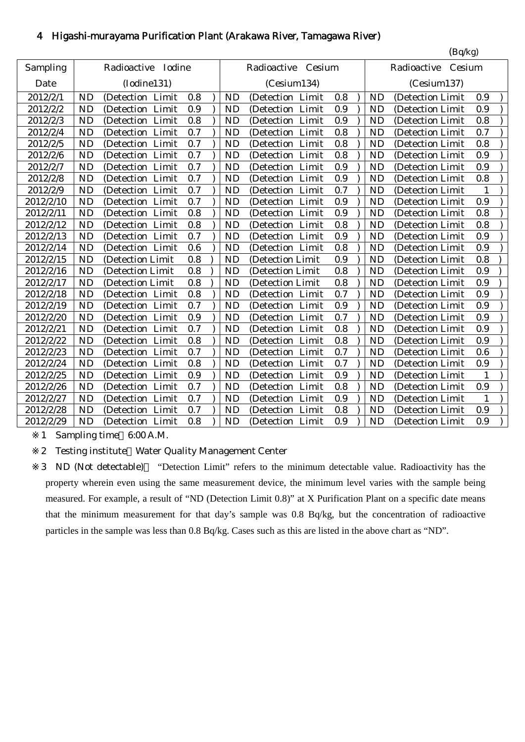# 4 Higashi-murayama Purification Plant (Arakawa River, Tamagawa River)

|           |           |                      |     |           |                      |     |           | (Bq/kg)               |              |
|-----------|-----------|----------------------|-----|-----------|----------------------|-----|-----------|-----------------------|--------------|
| Sampling  |           | Radioactive Iodine   |     |           | Radioactive Cesium   |     |           | Radioactive<br>Cesium |              |
| Date      |           | (Iodine131)          |     |           | (Cesium134)          |     |           | (Cesium137)           |              |
| 2012/2/1  | <b>ND</b> | Limit<br>(Detection) | 0.8 | <b>ND</b> | Limit<br>(Detection) | 0.8 | <b>ND</b> | (Detection Limit      | 0.9          |
| 2012/2/2  | <b>ND</b> | (Detection Limit     | 0.9 | <b>ND</b> | (Detection<br>Limit  | 0.9 | <b>ND</b> | (Detection Limit      | 0.9          |
| 2012/2/3  | <b>ND</b> | (Detection Limit     | 0.8 | <b>ND</b> | (Detection Limit     | 0.9 | <b>ND</b> | (Detection Limit      | 0.8          |
| 2012/2/4  | <b>ND</b> | (Detection Limit     | 0.7 | <b>ND</b> | (Detection Limit     | 0.8 | <b>ND</b> | (Detection Limit      | 0.7          |
| 2012/2/5  | <b>ND</b> | (Detection Limit     | 0.7 | <b>ND</b> | (Detection Limit     | 0.8 | <b>ND</b> | (Detection Limit      | 0.8          |
| 2012/2/6  | <b>ND</b> | (Detection<br>Limit  | 0.7 | <b>ND</b> | (Detection)<br>Limit | 0.8 | <b>ND</b> | (Detection Limit      | 0.9          |
| 2012/2/7  | <b>ND</b> | (Detection Limit     | 0.7 | <b>ND</b> | (Detection Limit     | 0.9 | <b>ND</b> | (Detection Limit      | 0.9          |
| 2012/2/8  | <b>ND</b> | (Detection Limit     | 0.7 | <b>ND</b> | (Detection Limit     | 0.9 | <b>ND</b> | (Detection Limit      | 0.8          |
| 2012/2/9  | <b>ND</b> | (Detection Limit     | 0.7 | <b>ND</b> | (Detection Limit     | 0.7 | <b>ND</b> | (Detection Limit      | $\mathbf{1}$ |
| 2012/2/10 | <b>ND</b> | (Detection Limit     | 0.7 | <b>ND</b> | (Detection Limit     | 0.9 | <b>ND</b> | (Detection Limit      | 0.9          |
| 2012/2/11 | <b>ND</b> | (Detection Limit     | 0.8 | <b>ND</b> | (Detection Limit     | 0.9 | <b>ND</b> | (Detection Limit      | 0.8          |
| 2012/2/12 | <b>ND</b> | (Detection Limit     | 0.8 | <b>ND</b> | (Detection Limit     | 0.8 | <b>ND</b> | (Detection Limit      | 0.8          |
| 2012/2/13 | <b>ND</b> | (Detection Limit     | 0.7 | <b>ND</b> | (Detection Limit     | 0.9 | <b>ND</b> | (Detection Limit      | 0.9          |
| 2012/2/14 | <b>ND</b> | (Detection Limit     | 0.6 | <b>ND</b> | (Detection Limit     | 0.8 | <b>ND</b> | (Detection Limit      | 0.9          |
| 2012/2/15 | <b>ND</b> | (Detection Limit     | 0.8 | <b>ND</b> | (Detection Limit     | 0.9 | <b>ND</b> | (Detection Limit      | 0.8          |
| 2012/2/16 | <b>ND</b> | (Detection Limit     | 0.8 | <b>ND</b> | (Detection Limit     | 0.8 | <b>ND</b> | (Detection Limit      | 0.9          |
| 2012/2/17 | <b>ND</b> | (Detection Limit     | 0.8 | <b>ND</b> | (Detection Limit     | 0.8 | <b>ND</b> | (Detection Limit      | 0.9          |
| 2012/2/18 | <b>ND</b> | (Detection Limit     | 0.8 | <b>ND</b> | (Detection Limit     | 0.7 | <b>ND</b> | (Detection Limit      | 0.9          |
| 2012/2/19 | <b>ND</b> | (Detection Limit     | 0.7 | <b>ND</b> | (Detection Limit     | 0.9 | <b>ND</b> | (Detection Limit      | 0.9          |
| 2012/2/20 | <b>ND</b> | (Detection Limit     | 0.9 | <b>ND</b> | (Detection Limit     | 0.7 | <b>ND</b> | (Detection Limit      | 0.9          |
| 2012/2/21 | <b>ND</b> | Limit<br>(Detection  | 0.7 | <b>ND</b> | Limit<br>(Detection  | 0.8 | <b>ND</b> | (Detection Limit      | 0.9          |
| 2012/2/22 | <b>ND</b> | Limit<br>(Detection) | 0.8 | <b>ND</b> | Limit<br>(Detection) | 0.8 | <b>ND</b> | (Detection Limit      | 0.9          |
| 2012/2/23 | <b>ND</b> | (Detection<br>Limit  | 0.7 | <b>ND</b> | (Detection<br>Limit  | 0.7 | <b>ND</b> | (Detection Limit      | 0.6          |
| 2012/2/24 | <b>ND</b> | Limit<br>(Detection  | 0.8 | <b>ND</b> | Limit<br>(Detection  | 0.7 | <b>ND</b> | (Detection Limit      | 0.9          |
| 2012/2/25 | <b>ND</b> | (Detection<br>Limit  | 0.9 | <b>ND</b> | (Detection<br>Limit  | 0.9 | <b>ND</b> | (Detection Limit      | 1            |
| 2012/2/26 | <b>ND</b> | (Detection<br>Limit  | 0.7 | <b>ND</b> | (Detection Limit     | 0.8 | <b>ND</b> | (Detection Limit      | 0.9          |
| 2012/2/27 | <b>ND</b> | (Detection Limit     | 0.7 | <b>ND</b> | (Detection Limit     | 0.9 | <b>ND</b> | (Detection Limit      | 1            |
| 2012/2/28 | <b>ND</b> | Limit<br>(Detection) | 0.7 | <b>ND</b> | Limit<br>(Detection  | 0.8 | <b>ND</b> | (Detection Limit      | 0.9          |
| 2012/2/29 | <b>ND</b> | (Detection Limit     | 0.8 | <b>ND</b> | (Detection Limit     | 0.9 | <b>ND</b> | (Detection Limit      | 0.9          |

1 Sampling time 6:00 A.M.

2 Testing institute Water Quality Management Center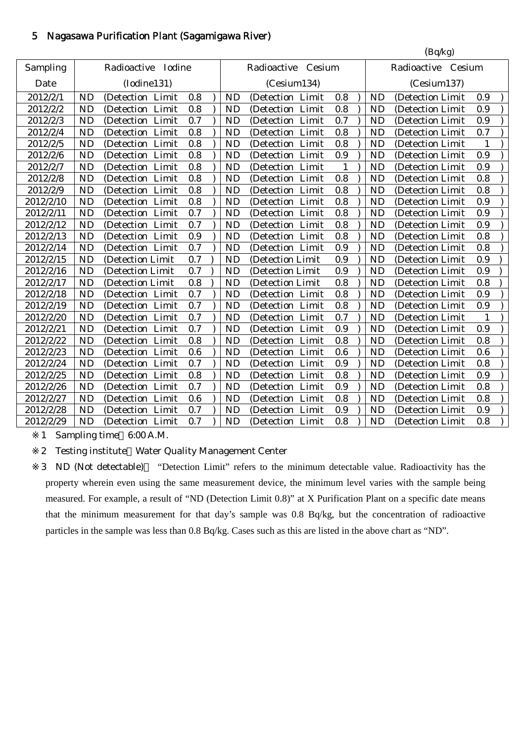## 5 Nagasawa Purification Plant (Sagamigawa River)

|           |                |                     |     |                            |                    |              |  |           | (Bq/kg)            |              |  |
|-----------|----------------|---------------------|-----|----------------------------|--------------------|--------------|--|-----------|--------------------|--------------|--|
| Sampling  |                | Radioactive Iodine  |     |                            | Radioactive Cesium |              |  |           | Radioactive Cesium |              |  |
| Date      |                | (Iodine131)         |     | (Cesium134)<br>(Cesium137) |                    |              |  |           |                    |              |  |
| 2012/2/1  | <b>ND</b>      | (Detection Limit    | 0.8 | <b>ND</b>                  | (Detection Limit   | 0.8          |  | <b>ND</b> | (Detection Limit   | 0.9          |  |
| 2012/2/2  | <b>ND</b>      | Limit<br>(Detection | 0.8 | <b>ND</b>                  | (Detection Limit   | 0.8          |  | <b>ND</b> | (Detection Limit   | 0.9          |  |
| 2012/2/3  | <b>ND</b>      | (Detection<br>Limit | 0.7 | <b>ND</b>                  | (Detection Limit   | 0.7          |  | <b>ND</b> | (Detection Limit   | 0.9          |  |
| 2012/2/4  | <b>ND</b>      | (Detection Limit    | 0.8 | <b>ND</b>                  | (Detection Limit   | 0.8          |  | <b>ND</b> | (Detection Limit   | 0.7          |  |
| 2012/2/5  | <b>ND</b>      | (Detection Limit    | 0.8 | <b>ND</b>                  | (Detection Limit   | 0.8          |  | <b>ND</b> | (Detection Limit   | 1            |  |
| 2012/2/6  | <b>ND</b>      | (Detection Limit    | 0.8 | <b>ND</b>                  | (Detection Limit   | 0.9          |  | <b>ND</b> | (Detection Limit   | 0.9          |  |
| 2012/2/7  | <b>ND</b>      | (Detection Limit    | 0.8 | <b>ND</b>                  | (Detection Limit   | $\mathbf{1}$ |  | <b>ND</b> | (Detection Limit   | 0.9          |  |
| 2012/2/8  | <b>ND</b>      | (Detection Limit    | 0.8 | <b>ND</b>                  | (Detection Limit   | 0.8          |  | <b>ND</b> | (Detection Limit   | 0.8          |  |
| 2012/2/9  | N <sub>D</sub> | (Detection Limit    | 0.8 | <b>ND</b>                  | (Detection Limit   | 0.8          |  | <b>ND</b> | (Detection Limit   | 0.8          |  |
| 2012/2/10 | <b>ND</b>      | (Detection Limit    | 0.8 | <b>ND</b>                  | (Detection Limit   | 0.8          |  | <b>ND</b> | (Detection Limit   | 0.9          |  |
| 2012/2/11 | <b>ND</b>      | (Detection Limit    | 0.7 | <b>ND</b>                  | (Detection Limit   | 0.8          |  | <b>ND</b> | (Detection Limit   | 0.9          |  |
| 2012/2/12 | <b>ND</b>      | (Detection Limit    | 0.7 | <b>ND</b>                  | (Detection Limit   | $0.8\,$      |  | <b>ND</b> | (Detection Limit   | 0.9          |  |
| 2012/2/13 | <b>ND</b>      | (Detection Limit    | 0.9 | <b>ND</b>                  | (Detection Limit   | 0.8          |  | <b>ND</b> | (Detection Limit   | 0.8          |  |
| 2012/2/14 | <b>ND</b>      | (Detection Limit    | 0.7 | <b>ND</b>                  | (Detection Limit   | 0.9          |  | <b>ND</b> | (Detection Limit   | 0.8          |  |
| 2012/2/15 | <b>ND</b>      | (Detection Limit    | 0.7 | <b>ND</b>                  | (Detection Limit   | 0.9          |  | <b>ND</b> | (Detection Limit   | 0.9          |  |
| 2012/2/16 | <b>ND</b>      | (Detection Limit    | 0.7 | <b>ND</b>                  | (Detection Limit   | 0.9          |  | <b>ND</b> | (Detection Limit   | 0.9          |  |
| 2012/2/17 | <b>ND</b>      | (Detection Limit    | 0.8 | <b>ND</b>                  | (Detection Limit   | 0.8          |  | <b>ND</b> | (Detection Limit   | 0.8          |  |
| 2012/2/18 | <b>ND</b>      | (Detection Limit    | 0.7 | <b>ND</b>                  | (Detection Limit   | 0.8          |  | <b>ND</b> | (Detection Limit   | 0.9          |  |
| 2012/2/19 | <b>ND</b>      | (Detection Limit    | 0.7 | <b>ND</b>                  | (Detection Limit   | 0.8          |  | <b>ND</b> | (Detection Limit   | 0.9          |  |
| 2012/2/20 | <b>ND</b>      | (Detection Limit    | 0.7 | <b>ND</b>                  | (Detection Limit   | 0.7          |  | <b>ND</b> | (Detection Limit   | $\mathbf{1}$ |  |
| 2012/2/21 | <b>ND</b>      | (Detection Limit    | 0.7 | <b>ND</b>                  | (Detection Limit   | 0.9          |  | <b>ND</b> | (Detection Limit)  | 0.9          |  |
| 2012/2/22 | <b>ND</b>      | Limit<br>(Detection | 0.8 | <b>ND</b>                  | (Detection Limit   | 0.8          |  | <b>ND</b> | (Detection Limit   | 0.8          |  |
| 2012/2/23 | <b>ND</b>      | (Detection Limit    | 0.6 | <b>ND</b>                  | (Detection Limit   | 0.6          |  | <b>ND</b> | (Detection Limit   | 0.6          |  |
| 2012/2/24 | <b>ND</b>      | (Detection Limit    | 0.7 | <b>ND</b>                  | (Detection Limit   | 0.9          |  | <b>ND</b> | (Detection Limit   | 0.8          |  |
| 2012/2/25 | <b>ND</b>      | (Detection<br>Limit | 0.8 | <b>ND</b>                  | (Detection Limit   | 0.8          |  | <b>ND</b> | (Detection Limit   | 0.9          |  |
| 2012/2/26 | <b>ND</b>      | (Detection Limit    | 0.7 | <b>ND</b>                  | (Detection Limit   | 0.9          |  | <b>ND</b> | (Detection Limit   | 0.8          |  |
| 2012/2/27 | <b>ND</b>      | (Detection Limit    | 0.6 | <b>ND</b>                  | (Detection Limit   | 0.8          |  | <b>ND</b> | (Detection Limit   | 0.8          |  |
| 2012/2/28 | <b>ND</b>      | (Detection Limit    | 0.7 | <b>ND</b>                  | (Detection Limit   | 0.9          |  | <b>ND</b> | (Detection Limit   | 0.9          |  |
| 2012/2/29 | <b>ND</b>      | (Detection Limit    | 0.7 | <b>ND</b>                  | (Detection Limit   | 0.8          |  | <b>ND</b> | (Detection Limit)  | 0.8          |  |

1 Sampling time 6:00 A.M.

2 Testing institute Water Quality Management Center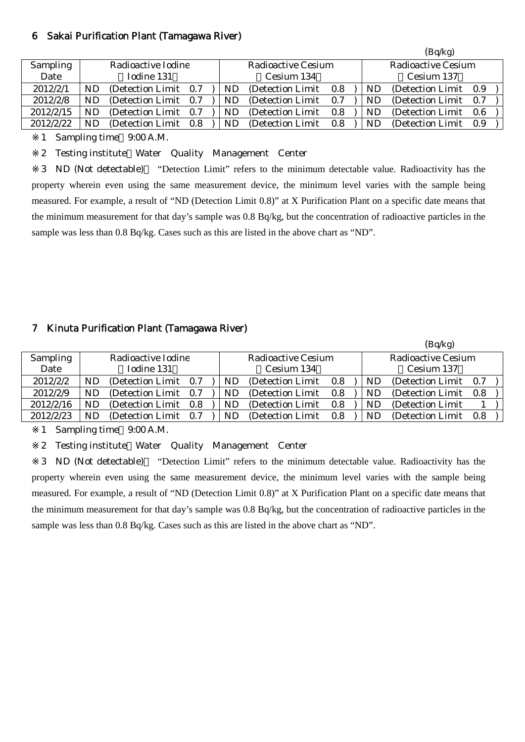#### 6 Sakai Purification Plant (Tamagawa River)

|           |    |                       |     |    |                    |     |    | (Bq/kg)               |     |
|-----------|----|-----------------------|-----|----|--------------------|-----|----|-----------------------|-----|
| Sampling  |    | Radioactive Iodine    |     |    | Radioactive Cesium |     |    | Radioactive Cesium    |     |
| Date      |    | Iodine 131            |     |    | Cesium 134         |     |    | Cesium 137            |     |
| 2012/2/1  | ND | (Detection Limit 0.7) |     | ND | (Detection Limit)  | 0.8 | ND | (Detection Limit 0.9) |     |
| 2012/2/8  | ND | (Detection Limit 0.7) |     | ND | (Detection Limit)  | 0.7 | ND | (Detection Limit 0.7) |     |
| 2012/2/15 | ND | (Detection Limit)     | 0.7 | ND | (Detection Limit)  | 0.8 | ND | (Detection Limit)     | 0.6 |
| 2012/2/22 | ND | (Detection Limit)     | 0.8 | ND | (Detection Limit)  | 0.8 | ND | (Detection Limit 0.9) |     |

1 Sampling time 9:00 A.M.

2 Testing institute Water Quality Management Center

3 ND (Not detectable) "Detection Limit" refers to the minimum detectable value. Radioactivity has the property wherein even using the same measurement device, the minimum level varies with the sample being measured. For example, a result of "ND (Detection Limit 0.8)" at X Purification Plant on a specific date means that the minimum measurement for that day's sample was 0.8 Bq/kg, but the concentration of radioactive particles in the sample was less than 0.8 Bq/kg. Cases such as this are listed in the above chart as "ND".

## 7 Kinuta Purification Plant (Tamagawa River)

| (Bq/kg)         |    |                       |     |  |           |                    |         |           |                           |     |  |
|-----------------|----|-----------------------|-----|--|-----------|--------------------|---------|-----------|---------------------------|-----|--|
| <b>Sampling</b> |    | Radioactive Iodine    |     |  |           | Radioactive Cesium |         |           | <b>Radioactive Cesium</b> |     |  |
| Date            |    | Iodine 131            |     |  |           | Cesium 134         |         |           | Cesium 137                |     |  |
| 2012/2/2        | ND | (Detection Limit 0.7) |     |  | <b>ND</b> | (Detection Limit)  | $0.8\,$ | <b>ND</b> | (Detection Limit 0.7)     |     |  |
| 2012/2/9        | ND | (Detection Limit 0.7) |     |  | ND.       | (Detection Limit)  | 0.8     | ND        | (Detection Limit)         | 0.8 |  |
| 2012/2/16       | ND | (Detection Limit 0.8) |     |  | ND.       | (Detection Limit)  | 0.8     | ND        | (Detection Limit)         |     |  |
| 2012/2/23       | ND | (Detection Limit)     | 0.7 |  | ND        | (Detection Limit)  | 0.8     | ND        | (Detection Limit)         | 0.8 |  |

1 Sampling time 9:00 A.M.

2 Testing institute Water Quality Management Center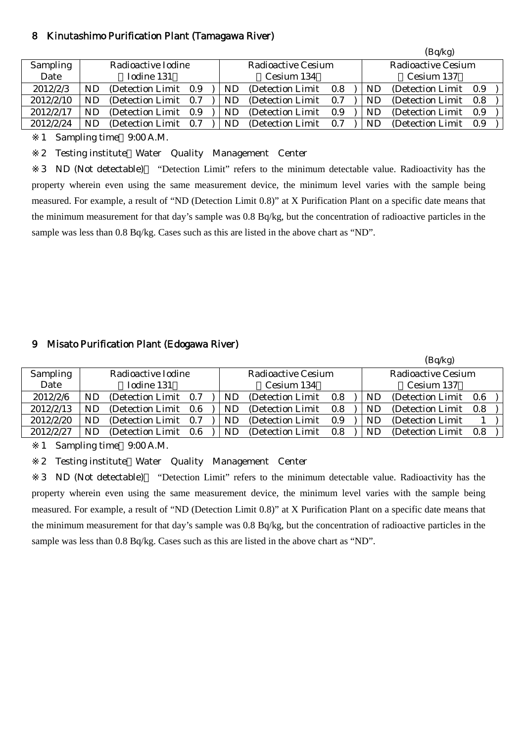#### 8 Kinutashimo Purification Plant (Tamagawa River)

|           |    |                       |     |    |                    |     | (Bq/kg) |                       |     |  |  |
|-----------|----|-----------------------|-----|----|--------------------|-----|---------|-----------------------|-----|--|--|
| Sampling  |    | Radioactive Iodine    |     |    | Radioactive Cesium |     |         | Radioactive Cesium    |     |  |  |
| Date      |    | Iodine 131            |     |    | Cesium 134         |     |         | Cesium 137            |     |  |  |
| 2012/2/3  | ND | (Detection Limit 0.9) |     | ND | (Detection Limit)  | 0.8 | ND      | (Detection Limit 0.9) |     |  |  |
| 2012/2/10 | NĽ | (Detection Limit 0.7) |     | ND | (Detection Limit)  | 0.7 | ND      | (Detection Limit)     | 0.8 |  |  |
| 2012/2/17 | ND | (Detection Limit)     | 0.9 | ND | (Detection Limit)  | 0.9 | ND      | (Detection Limit)     | 0.9 |  |  |
| 2012/2/24 | ND | (Detection Limit)     | 0.7 | ND | (Detection Limit)  | 0.7 | ND      | (Detection Limit)     | 0.9 |  |  |

1 Sampling time 9:00 A.M.

2 Testing institute Water Quality Management Center

3 ND (Not detectable) "Detection Limit" refers to the minimum detectable value. Radioactivity has the property wherein even using the same measurement device, the minimum level varies with the sample being measured. For example, a result of "ND (Detection Limit 0.8)" at X Purification Plant on a specific date means that the minimum measurement for that day's sample was 0.8 Bq/kg, but the concentration of radioactive particles in the sample was less than 0.8 Bq/kg. Cases such as this are listed in the above chart as "ND".

## 9 Misato Purification Plant (Edogawa River)

|                 |     |                       |  |    |                    |     |           | (Bq/kg)            |         |  |
|-----------------|-----|-----------------------|--|----|--------------------|-----|-----------|--------------------|---------|--|
| <b>Sampling</b> |     | Radioactive Iodine    |  |    | Radioactive Cesium |     |           | Radioactive Cesium |         |  |
| Date            |     | Iodine 131            |  |    | Cesium 134         |     |           | Cesium 137         |         |  |
| 2012/2/6        | ND  | (Detection Limit 0.7) |  | ND | (Detection Limit)  | 0.8 | ND        | (Detection Limit)  | $0.6\,$ |  |
| 2012/2/13       | ND  | (Detection Limit 0.6) |  | ND | (Detection Limit)  | 0.8 | ND        | (Detection Limit)  | 0.8     |  |
| 2012/2/20       | ND  | (Detection Limit 0.7) |  | ND | (Detection Limit)  | 0.9 | <b>ND</b> | (Detection Limit)  |         |  |
| 2012/2/27       | ND. | (Detection Limit 0.6) |  | ND | (Detection Limit)  | 0.8 | ND        | (Detection Limit)  | 0.8     |  |
|                 |     |                       |  |    |                    |     |           |                    |         |  |

1 Sampling time 9:00 A.M.

2 Testing institute Water Quality Management Center